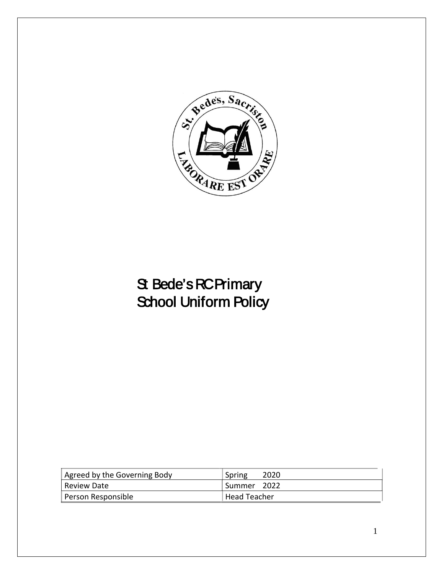

# St Bede's RC Primary School Uniform Policy

| Agreed by the Governing Body | 2020<br>Spring |
|------------------------------|----------------|
| Review Date                  | Summer 2022!   |
| Person Responsible           | Head Teacher   |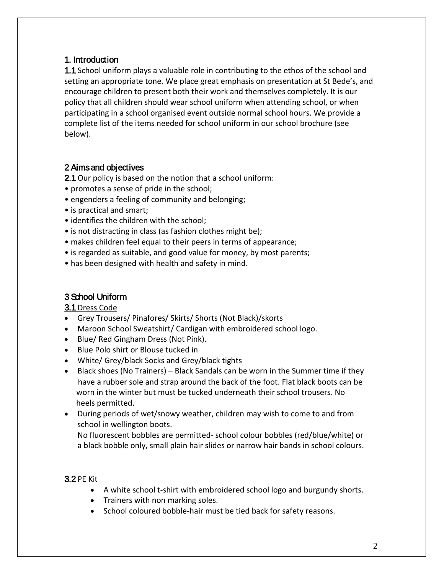# 1. Introduction

1.1 School uniform plays a valuable role in contributing to the ethos of the school and setting an appropriate tone. We place great emphasis on presentation at St Bede's, and encourage children to present both their work and themselves completely. It is our policy that all children should wear school uniform when attending school, or when participating in a school organised event outside normal school hours. We provide a complete list of the items needed for school uniform in our school brochure (see below).

# 2 Aims and objectives

2.1 Our policy is based on the notion that a school uniform:

- promotes a sense of pride in the school;
- engenders a feeling of community and belonging;
- is practical and smart;
- identifies the children with the school;
- is not distracting in class (as fashion clothes might be);
- makes children feel equal to their peers in terms of appearance;
- is regarded as suitable, and good value for money, by most parents;
- has been designed with health and safety in mind.

# 3 School Uniform

# 3.1 Dress Code

- Grey Trousers/ Pinafores/ Skirts/ Shorts (Not Black)/skorts
- Maroon School Sweatshirt/ Cardigan with embroidered school logo.
- Blue/ Red Gingham Dress (Not Pink).
- Blue Polo shirt or Blouse tucked in
- White/ Grey/black Socks and Grey/black tights
- Black shoes (No Trainers) Black Sandals can be worn in the Summer time if they have a rubber sole and strap around the back of the foot. Flat black boots can be worn in the winter but must be tucked underneath their school trousers. No heels permitted.
- During periods of wet/snowy weather, children may wish to come to and from school in wellington boots.

No fluorescent bobbles are permitted- school colour bobbles (red/blue/white) or a black bobble only, small plain hair slides or narrow hair bands in school colours.

# 3.2 PE Kit

- A white school t-shirt with embroidered school logo and burgundy shorts.
- Trainers with non marking soles.
- School coloured bobble-hair must be tied back for safety reasons.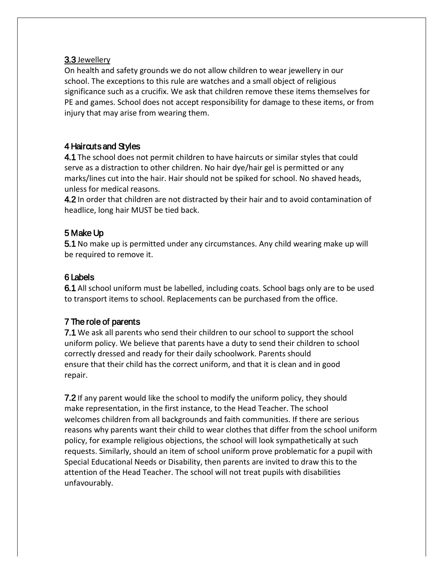#### 3.3 Jewellery

On health and safety grounds we do not allow children to wear jewellery in our school. The exceptions to this rule are watches and a small object of religious significance such as a crucifix. We ask that children remove these items themselves for PE and games. School does not accept responsibility for damage to these items, or from injury that may arise from wearing them.

# 4 Haircuts and Styles

4.1 The school does not permit children to have haircuts or similar styles that could serve as a distraction to other children. No hair dye/hair gel is permitted or any marks/lines cut into the hair. Hair should not be spiked for school. No shaved heads, unless for medical reasons.

4.2 In order that children are not distracted by their hair and to avoid contamination of headlice, long hair MUST be tied back.

# 5 Make Up

5.1 No make up is permitted under any circumstances. Any child wearing make up will be required to remove it.

# 6 Labels

6.1 All school uniform must be labelled, including coats. School bags only are to be used to transport items to school. Replacements can be purchased from the office.

# 7 The role of parents

7.1 We ask all parents who send their children to our school to support the school uniform policy. We believe that parents have a duty to send their children to school correctly dressed and ready for their daily schoolwork. Parents should ensure that their child has the correct uniform, and that it is clean and in good repair.

**7.2** If any parent would like the school to modify the uniform policy, they should make representation, in the first instance, to the Head Teacher. The school welcomes children from all backgrounds and faith communities. If there are serious reasons why parents want their child to wear clothes that differ from the school uniform policy, for example religious objections, the school will look sympathetically at such requests. Similarly, should an item of school uniform prove problematic for a pupil with Special Educational Needs or Disability, then parents are invited to draw this to the attention of the Head Teacher. The school will not treat pupils with disabilities unfavourably.